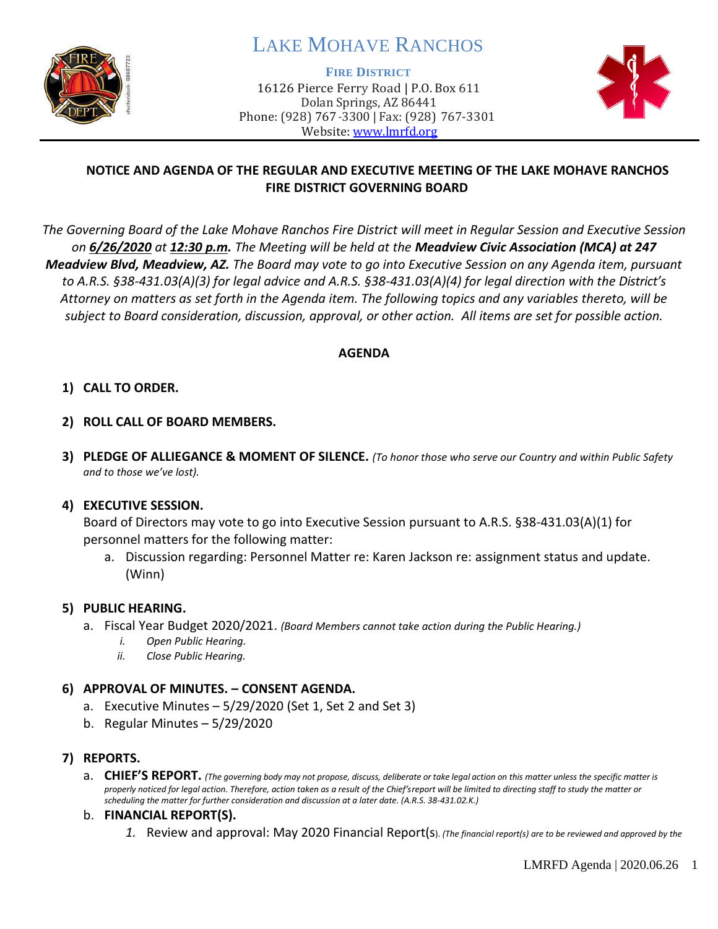

# LAKE MOHAVE RANCHOS

**FIRE DISTRICT**

16126 Pierce Ferry Road | P.O. Box 611 Dolan Springs, AZ 86441 Phone: (928) 767-3300 | Fax: (928) 767-3301 Website: [www.lmrfd.org](http://www.lmrfd.org/)



## **NOTICE AND AGENDA OF THE REGULAR AND EXECUTIVE MEETING OF THE LAKE MOHAVE RANCHOS FIRE DISTRICT GOVERNING BOARD**

*The Governing Board of the Lake Mohave Ranchos Fire District will meet in Regular Session and Executive Session on 6/26/2020 at 12:30 p.m. The Meeting will be held at the Meadview Civic Association (MCA) at 247 Meadview Blvd, Meadview, AZ. The Board may vote to go into Executive Session on any Agenda item, pursuant to A.R.S. §38-431.03(A)(3) for legal advice and A.R.S. §38-431.03(A)(4) for legal direction with the District's Attorney on matters as set forth in the Agenda item. The following topics and any variables thereto, will be subject to Board consideration, discussion, approval, or other action. All items are set for possible action.* 

#### **AGENDA**

#### **1) CALL TO ORDER.**

- **2) ROLL CALL OF BOARD MEMBERS.**
- **3) PLEDGE OF ALLIEGANCE & MOMENT OF SILENCE.** *(To honor those who serve our Country and within Public Safety and to those we've lost).*

#### **4) EXECUTIVE SESSION.**

Board of Directors may vote to go into Executive Session pursuant to A.R.S. §38-431.03(A)(1) for personnel matters for the following matter:

a. Discussion regarding: Personnel Matter re: Karen Jackson re: assignment status and update. (Winn)

#### **5) PUBLIC HEARING.**

- a. Fiscal Year Budget 2020/2021. *(Board Members cannot take action during the Public Hearing.)*
	- *i. Open Public Hearing.*
	- *ii. Close Public Hearing.*

#### **6) APPROVAL OF MINUTES. – CONSENT AGENDA.**

- a. Executive Minutes  $-5/29/2020$  (Set 1, Set 2 and Set 3)
- b. Regular Minutes 5/29/2020

#### **7) REPORTS.**

a. CHIEF'S REPORT. (The governing body may not propose, discuss, deliberate or take legal action on this matter unless the specific matter is *properly noticed for legal action. Therefore, action taken as a result of the Chief's report will be limited to directing staff to study the matter or scheduling the matter for further consideration and discussion at a later date. (A.R.S. 38-431.02.K.)*

#### b. **FINANCIAL REPORT(S).**

*1.* Review and approval: May 2020 Financial Report(s). *(The financial report(s) are to be reviewed and approved by the*